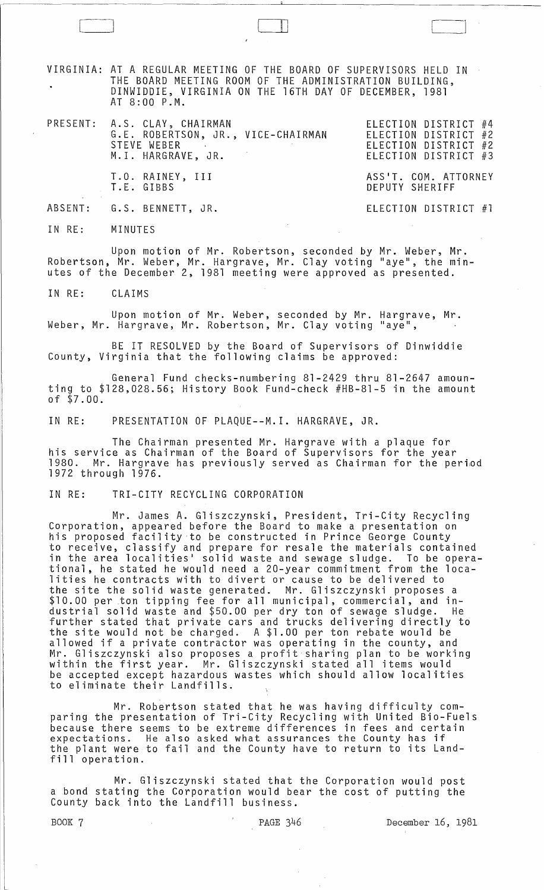VIRGINIA: AT A REGULAR MEETING OF THE BOARD OF SUPERVISORS HELD IN THE BOARD MEETING ROOM OF THE ADMINISTRATION BUILDING, DINWIDDIE, VIRGINIA ON THE 16TH DAY OF DECEMBER, 1981 AT 8:00 P.M.

ell

PRESENT: A.S. CLAY, CHAIRMAN ELECTION DISTRICT #4 G.E. ROBERTSON, JR., VICE-CHAIRMAN STEVE WEBER M. I. HARGRAVE, JR.

ELECTION DISTRICT #2 ELECTION DISTRICT #2 ELECTION DISTRICT #3

ASS'T. COM. ATTORNEY DEPUTY SHERIFF

ELECTION DISTRICT #1

ABSENT: G.S. BENNETT, JR.

T.E. GIBBS

T.O. RAINEY, III

IN RE: MINUTES

Upon motion of Mr. Robertson, seconded by Mr. Weber, Mr. Robertson, Mr. Weber, Mr. Hargrave, Mr. Clay voting "aye", the minutes of the December 2, 1981 meeting were approved as presented.

IN RE: CLAIMS

Upon motion of Mr. Weber, seconded by Mr. Hargrave, Mr. Weber, Mr. Hargrave, Mr. Robertson, Mr. Clay voting "aye",

BE IT RESOLVED by the Board of Supervisors of Dinwiddie County, Virginia that the following claims be approved:

General Fund checks-numbering 81-2429 thru 81-2647 amounting to \$128,028.56; History Book Fund-check #HB-81-5 in the amount of \$7.00.

IN RE: PRESENTATION OF PLAQUE--M.I. HARGRAVE, JR.

The Chairman presented Mr. Hargrave with a plaque for his service as Chairman of the Board of Supervisors for the year<br>1980. Mr. Hargrave has previously served as Chairman for the period 1980. Mr. Hargrave has previously served as Chairman for the period<br>1972 through 1976.

IN RE: TRI-CITY RECYCLING CORPORATION

Mr. James A. Gliszczynski, President, Tri-City Recycling Corporation, appeared before the Board to make a presentation on his proposed facility,to be constructed in Prince George County to receive, classify and prepare for resale the materials contained in the area localities' solid waste and sewage sludge. To be operational, he stated he would need a 20-year commitment from the localities he contracts with to divert or cause to be delivered to the site the solid waste generated. Mr. Gliszczynski proposes a \$10.00 per ton tipping fee for all municipal, commercial, and industrial solid waste and \$50.00 per dry ton of sewage sludge. He further stated that private cars and trucks delivering directly to the site would not be charged. A \$1.00 per ton rebate would be allowed if a private contractor was operating in the county, and Mr. Gliszczynski also proposes a profit sharing plan to be working within the first year. Mr. Gliszczynski stated all items would be accepted except hazardous wastes which should allow localities to eliminate their Landfills.

Mr. Robertson stated that he was having difficulty comparing the presentation of Tri-City Recycling with United Bio-Fuels because there seems to be extreme differences in fees and certain expectations. He also asked what assurances the County has if the plant were to fail and the County have to return to its Landfill operation.

Mr. Gliszczynski stated that the Corporation would post a bond stating the Corporation would bear the cost of putting the County back into the Landfill business.

BOOK 7 **PAGE 346** December 16, 1981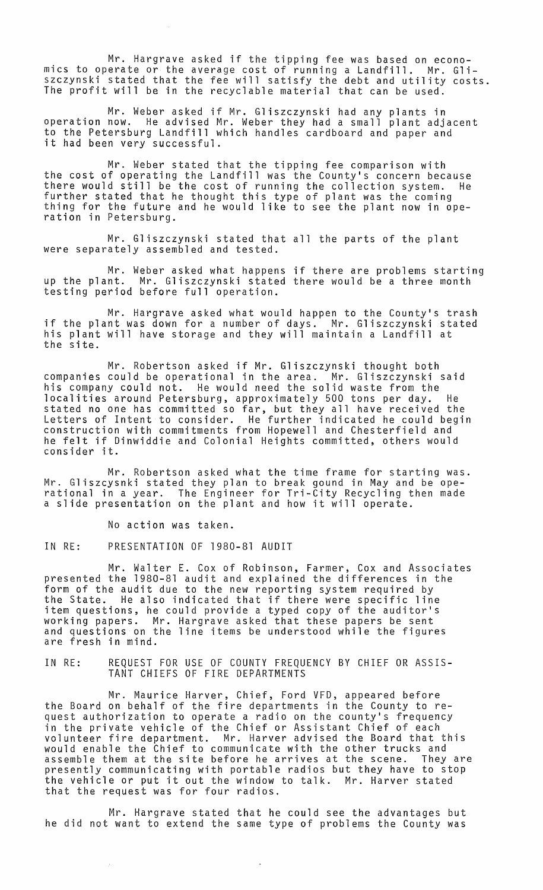Mr. Hargrave asked if the tipping fee was based on economics to operate or the average cost of running a Landfill. Mr. Gliszczynski stated that the fee will satisfy the debt and utility costs. The profit will be in the recyclable material that can be used.

Mr. Weber asked if Mr. Gliszczynski had any plants in operation now. He advised Mr. Weber they had a small plant adjacent to the Petersburg Landfill which handles cardboard and paper and it had been very successful.

Mr. Weber stated that the tipping fee comparison with the cost of operating the Landfill was the County's concern because there would still be the cost of running the collection system. He further stated that he thought this type of plant was the coming<br>thing for the future and he would like to see the plant now in operation in Petersburg.

Mr. Gliszczynski stated that all the parts of the plant were separately assembled and tested.

Mr. Weber asked what happens if there are problems starting<br>up the plant. Mr. Gliszczynski stated there would be a three month Mr. Gliszczynski stated there would be a three month testing period before full operation.

Mr. Hargrave asked what would happen to the County's trash if the plant was down for a number of days. Mr. Gliszczynski stated his plant will have storage and they will maintain a Landfill at the site.

Mr. Robertson asked if Mr. Gliszczynski thought both companies could be operational in the area. Mr. Gliszczynski said his company could not. He would need the solid waste from the localities around Petersburg, approximately 500 tons per day. He stated no one has committed so far, but they all have received the Letters of Intent to consider. He further indicated he could begin construction with commitments from Hopewell and Chesterfield and he felt if Dinwiddie and Colonial Heights committed, others would consider it.

Mr. Robertson asked what the time frame for starting was.<br>Mr. Gliszcysnki stated they plan to break gound in May and be ope-Mr. Gliszcysnki stated they plan to break gound in May and be ope- rational in a year. The Engineer for Tri-City Recycling then made a slide presentation on the plant and how it will operate.

No action was taken.

IN RE: PRESENTATION OF 1980-81 AUDIT

Mr. Walter E. Cox of Robinson, Farmer, Cox and Associates presented the 1980-81 audit and explained the differences in the form of the audit due to the new reporting system required by<br>the State. He also indicated that if there were specific line item questions, he could provide a typed copy of the auditor's working papers. Mr. Hargrave asked that these papers be sent and questions on the line items be understood while the figures are fresh in mind.

IN RE: REQUEST FOR USE OF COUNTY FREQUENCY BY CHIEF OR ASSIS-TANT CHIEFS OF FIRE DEPARTMENTS

Mr. Maurice Harver, Chief, Ford VFD, appeared before the Board on behalf of the fire departments in the County to request authorization to operate a radio on the county's frequency in the private vehicle of the Chief or Assistant Chief of each volunteer fire department. Mr. Harver advised the Board that this would enable the Chief to communicate with the other trucks and assemble them at the site before he arrives at the scene. They are presently communicating with portable radios but they have to stop the vehicle or put it out the window to talk. Mr. Harver stated that the request was for four radios.

Mr. Hargrave stated that he could see the advantages but he did not want to extend the same type of problems the County was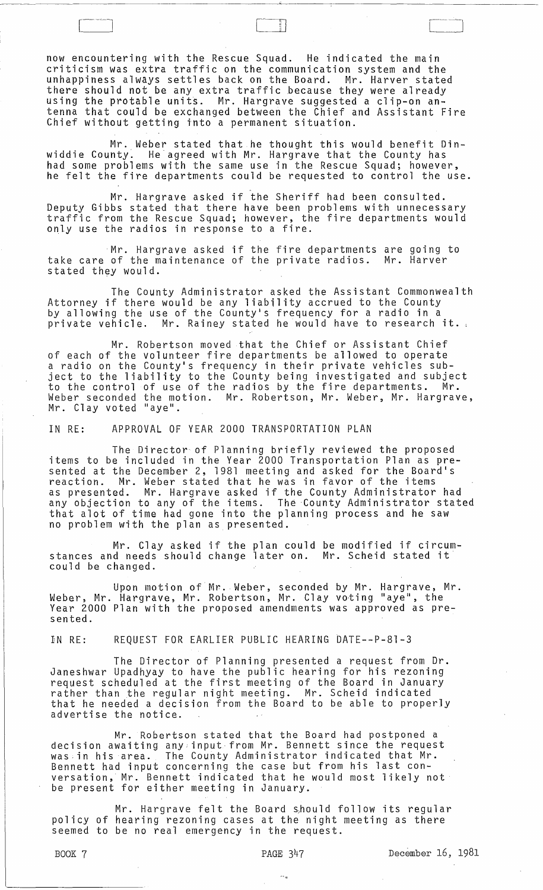now encountering with the Rescue Squad. He indicated the main criticism was extra traffic on the communication system and the unhappiness always settles back on the Board. Mr. Harver stated there should not be any extra traffic because they were already using the protable units. Mr. Hargrave suggested a clip-on antenna that could be exchanged between the Chief and Assistant Fire Chief without getting into a permanent situation.

:1 I

Mr. Weber stated that he thought this would benefit Dinwiddie County. He agreed with Mr. Hargrave that the County has had some problems with the same use in the Rescue Squad; however, he felt the fire departments could be requested to control the use.

Mr. Hargrave asked if the Sheriff had been consulted. Deputy Gibbs stated that there have been problems with unnecessary<br>traffic from the Rescue Squad; however, the fire departments would only use the radios in response to a fire.

Mr. Hargrave asked if the fire departments are going to take care of the maintenance of the private radios. Mr. Harver stated they would.

The County Administrator asked the Assistant Commonwealth Attorney if there would be any liability accrued to the County<br>by allowing the use of the County's frequency for a radio in a private vehicle. Mr. Rainey stated he would have to research it.

Mr. Robertson moved that the Chief or Assistant Chief of each of the volunteer fire departments be allowed to operate a radio on the County's frequency in their private vehicles subject to the liability to the County being investigated and subject to the control of use of the radios by the fire departments. Mr. Weber seconded the motion. Mr. Robertson, Mr. Weber, Mr. Hargrave,<br>Mr. Clay voted "aye".

IN RE: APPROVAL OF YEAR 2000 TRANSPORTATION PLAN

The Director of Planning briefly reviewed the proposed items to be included in the Year 2000 Transportation Plan as presented at the December 2, 1981 meeting and asked for the Board's reaction. Mr. Weber stated that he was in favor of the items as presented. Mr. Hargrave asked if the County Administrator had any objection to any of the items. The County Administrator stated that alot of time had gone into the planning process and he saw no problem with the plan as presented.

Mr. Clay asked if the plan could be modified if circumstances and needs should change later on. Mr. Scheid stated it could be changed.

Upon motion of Mr. Weber, seconded by Mr. Hargrave, Mr. Weber, Mr. Hargrave, Mr. Robertson, Mr. Clay voting "aye", the Year 2000 Plan with the proposed amendments was approved as presented.

IN RE: REQUEST FOR EARLIER PUBLIC HEARING DATE--P-8l-3

The Director of Planning presented a request from Dr. Janeshwar Upadhyay to have the public hearing for his rezoning request scheduled at the first meeting of the Board in January rather than the regular night meeting. Mr. Scheid indicated<br>that he needed a decision from the Board to be able to properly advertise the notice.

Mr. Robertson stated that the Board had postponed a decision awaiting any input from Mr. Bennett since the request was-in his area. The County Administrator indicated that Mr. Bennett had input concerning the case but from his last conversation, Mr. Bennett indicated that he would most likely not be present for either meeting in January.

Mr. Hargrave felt the Board should follow its regular policy of hearing rezoning cases at the night meeting as there seemed to be no real emergency in the request.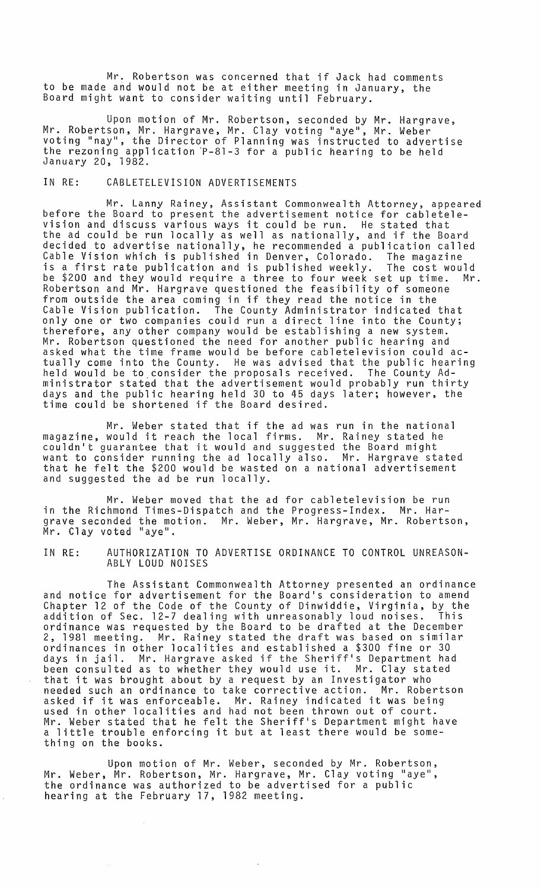Mr. Robertson was concerned that if Jack had comments to be made and would not be at either meeting in January, the Board might want to consider waiting until February.

Upon motion of Mr. Robertson, seconded by Mr. Hargrave, Mr. Robertson, Mr. Hargrave, Mr. Clay voting "aye", Mr. Weber voting "nay", the Director of Planning was instructed to advertise the rezoning application 'P-8l-3 for a public hearing to be held January 20, 1982.

## IN RE: CABLETELEVISION ADVERTISEMENTS

Mr. Lanny Rainey, Assistant Commonwealth Attorney, appeared before the Board to present the advertisement notice for cabletelevision and discuss various ways it could be run. He stated that the ad could be run locally as well as nationally, and if the Board decided to advertise nationally, he recommended a publication called Cable Vision which is published in Denver, Colorado. The magazine is a first rate publication and is published weekly. The cost would be \$200 and they would require a three to four week set up time. Mr. Robertson and Mr. Hargrave questioned the feasibility of someone from outside the area coming in if they read the notice in the Cable Vision publication. The County Administrator indicated that only one or two companies could run a direct line into the County; therefore, any other company would be establishing a new system. Mr. Robertson questioned the need for another public hearing and asked what the time frame would be before cabletelevision could actually come into the County. He was advised that the public hearing held would be to. consider the proposals received. The County Administrator stated that the advertisement would probably run thirty days and the public hearing held 30 to 45 days later; however, the time could be shortened if the Board desired.

Mr. Weber stated that if the ad was run in the national magazine, would it reach the local firms. Mr. Rainey stated he couldn't guarantee that it would and suggested the Board might want to consider running the ad locally also. Mr. Hargrave stated that he felt the \$200 would be wasted on a national advertisement and suggested the ad be run locally.

Mr. Weber moved that the ad for cablete1evision be run in the Richmond Times-Dispatch and the Progress-Index. Mr. Hargrave seconded the motion. Mr. Weber, Mr. Hargrave, Mr. Robertson, Mr. Clay voted "aye".

IN RE: AUTHORIZATION TO ADVERTISE ORDINANCE TO CONTROL UNREASON-ABLY LOUD NOISES

The Assistant Commonwealth Attorney presented an ordinance and notice for advertisement for the Board's consideration to amend Chapter 12 of the Code of the County of Dinwiddie, Virginia, by the addition of Sec. 12-7 dealing with unreasonably loud noises. This ordinance was requested by the Board to be drafted at the December 2, 1981 meeting. Mr. Rainey stated the draft was based on similar ordinances in other localities and established a \$300 fine or 30 days in jail. Mr. Hargrave asked if the Sheriff's Department had been consulted as to whether they would use it. Mr. Clay stated been consulted as to whether they would use it. Mr. Clay sta<br>that it was brought about by a request by an Investigator who needed such an ordinance to take corrective action. Mr. Robertson neeued such an ordinance to take corrective action. Mr. Roberts<br>asked if it was enforceable. Mr. Rainey indicated it was being<br>used in other localities and had not been thrown out of court. Mr. Weber stated that he felt the Sheriff's Department might have a little trouble enforcing it but at least there would be something on the books.

Upon motion of Mr. Weber, seconded by Mr. Robertson, Mr. Weber, Mr. Robertson, Mr. Hargrave, Mr. Clay voting "aye", the ordinance was authorized to be advertised for a public hearing at the February 17, 1982 meeting.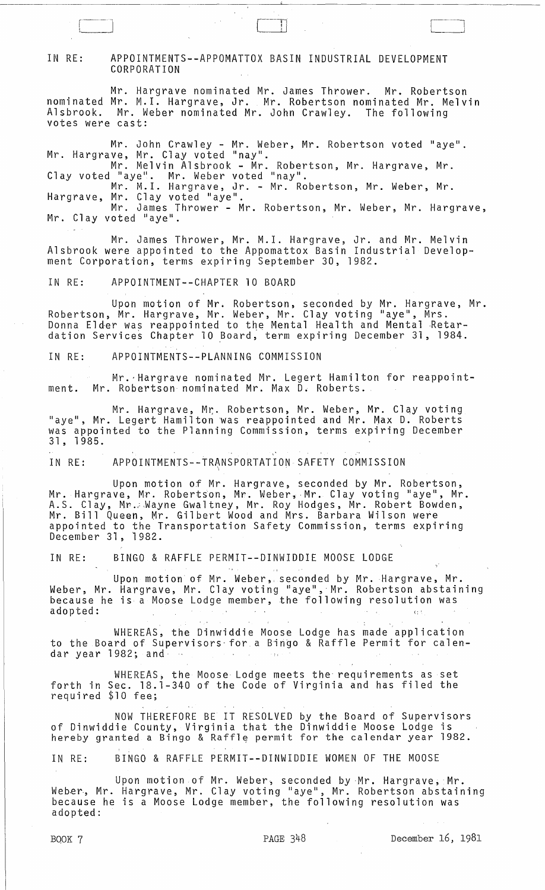## IN RE: APPOINTMENTS--APPOMATTOX BASIN INDUSTRIAL DEVELOPMENT CORPORATION

Mr. Hargrave nominated Mr. James Thrower. Mr. Robertson nominated Mr. M.l. Hargrave, Jr. Mr. Robertson nominated Mr. Melvin Alsbrook. Mr. Weber nominated Mr. John Crawley. The following votes were cast:

Mr. John Crawley - Mr. Weber, Mr. Robertson voted "aye".<br>Mr. Hargrave, Mr. Clay voted "nay".

Mr. Melvin Alsbrook - Mr. Robertson, Mr. Hargrave, Mr. Clay voted "aye". Mr. Weber voted "nay".

Mr. M.l. Hargrave, Jr. - Mr. Robertson, Mr. Weber, Mr. Hargrave, Mr. Clay voted "aye".<br>Mr. James Thrower - Mr. Robertson, Mr. Weber, Mr. Hargrave,<br>Mr. Clay voted "aye".

Mr. James Thrower, Mr. M.l. Hargrave, Jr. and Mr. Melvin Alsbrook were appointed to the Appomattox Basin Industrial Development Corporation, terms expiring September 30, 1982.

IN RE: APPOINTMENT--CHAPTER 10 BOARD

r-~~-~~'  $\begin{array}{ccc} \hline \end{array}$ 

Upon motion of Mr. Robertson, seconded by Mr. Hargrave, Mr. Robertson, Mr. Hargrave, Mr. Weber, Mr. Clay voting "aye", Mrs. Donna Elder was reappointed to the Mental Health and Mental Retardation Services Chapter 10 Board, term expiring December 31, 1984.

IN RE: APPOINTMENTS--PLANNING COMMISSION

Mr.-Hargrave nominated Mr. Legert Hamilton for reappointment. Mr. Robertson nominated Mr. Max D. Roberts.

Mr. Hargrave, Mr:. Robertson, Mr. Weber, Mr. Clay voting "aye", Mr. Legert Hamilton was reappointed and Mr. Max D. Roberts was appointed to the Planning Commission, terms expiring December 31,1985.

, IN RE: APPOINTMENTS--TRANSPORTATION SAFETY COMMISSION

Upon motion of Mr. Hargrave, seconded by Mr. Robertson, Mr. Hargrave, Mr. Robertson, Mr. Weber, Mr. Clay voting "aye", Mr. A.S. Clay, Mr. Mayne Gwaltney, Mr. Roy Hodges, Mr. Robert Bowden, Mr. Bill Queen, Mr. Gilbert Wood and Mrs. Barbara Wilson were appointed to the Transportation Safety Commission, terms expiring December 31 ,1982.

IN RE: BINGO & RAFFLE PERMIT--DINWIDDIE MOOSE LODGE

Upon motion of Mr. Weber,. seconded by Mr. Hargrave, Mr. Weber, Mr. Hargrave, Mr. Clay voting "aye", Mr. Robertson abstaining because he is a Moose Lodge member, the following resolution was adopted: adopted: which is a set of the set of the set of the set of the set of the set of the set of the set of the set

WHEREAS, the Dinwiddie Moose Lodge has made 'application to the Board of Supervisors for a Bingo & Raffle Permit for calendar year 1982; and

WHEREAS, the Moose Lodge meets the requirements as set forth in Sec. 18.1-340 of the Code of Virginia and has filed the required \$10 fee;

NOW THEREFORE BE IT RESOLVED by the Board of Supervisors of Dinwiddie County, Virginia that the Dinwiddie Moose Lodge is hereby granted a Bingo & Raffle permit for the calendar year 1982.

IN RE: BINGO & RAFFLE PERMIT--DINWIDDIE WOMEN OF THE MOOSE

Upon motion of Mr. Weber, seconded by Mr. Hargrave, Mr. Weber, Mr. Hargrave, Mr. Clay voting "aye", Mr. Robertson abstaining because he is a Moose Lodge member, the following resolution was adopted: